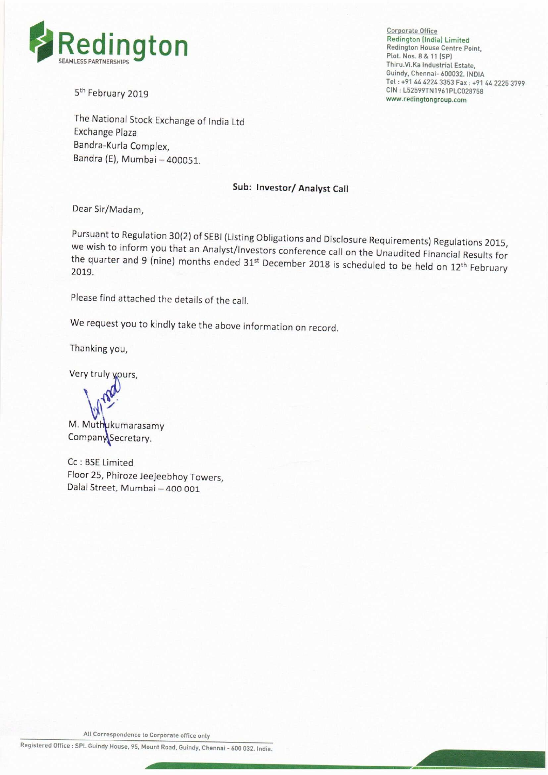

5<sup>th</sup> February 2019

The National Stock Exchange of India Ltd Exchange Plaza Bandra-Kurla Complex, Bandra (E), Mumbai —400051.

#### Sub: lnvestor/ Analyst Call

Dear Sir/Madam,

Pursuant to Regulation 30(2) of SEBI (Listing Obligations and Disclosure Requirements) Regulations 2015, we wish we wish to inform you that an Analyst/Investors conference call on the Unaudited Financial Results for<br>the quarter and 9 (nine) months ended 31<sup>st</sup> December 2018 is scheduled to be held on 12<sup>th</sup> February<br>2019 the quarter and 9 (nine) months ended 31<sup>st</sup> December 2018 is scheduled to be held on 12<sup>th</sup> February

Please find attached the details of the call.

We request you to kindly take the above information on record.

Thanking you,

Very truly yours,

 $\overline{\phantom{0}}$ r  $\blacksquare$ **PL** 

M. Muthukumarasamy Company Secretary.

Cc : BSE Limited Floor 25, Phiroze Jeejeebhoy Towers, Dalal Street, Mumbai — 400 001

Redington (India) Limited<br>Redington House Centre Point, Thiru.Vi.Ka Industrial Estate, Guindy, Chennai- 600032. INDIA Tel: +91 44 4224 3353 Fax: +91 44 2225 3799<br>CIN: L52599TN1961PLC028758 www.redingtongroup.com

All Correspondence to Corporate office only

Registered Office : SPL Guindy House, 95, Mount Road, Guindy, Chennai - 600 032. India o Corporate office only<br>Nount Road, Guindy, Chennai - 600 032. India.<br>Nount Road, Guindy, Chennai - 600 032. India.